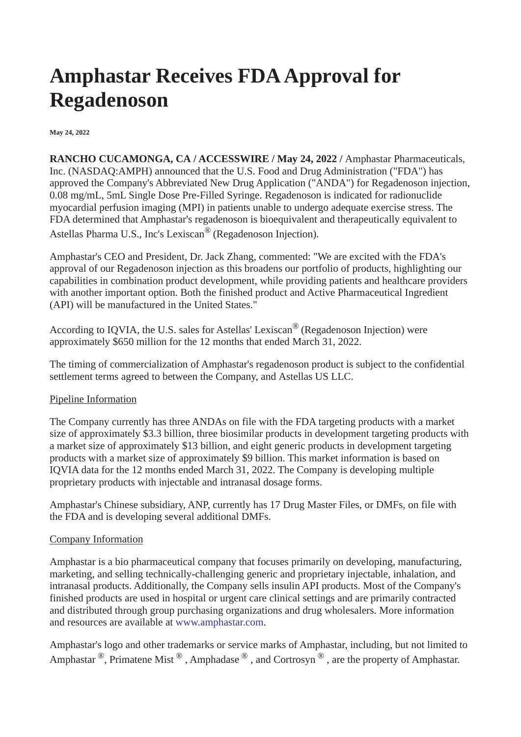# **Amphastar Receives FDA Approval for Regadenoson**

#### **May 24, 2022**

**RANCHO CUCAMONGA, CA / ACCESSWIRE / May 24, 2022 /** Amphastar Pharmaceuticals, Inc. (NASDAQ:AMPH) announced that the U.S. Food and Drug Administration ("FDA") has approved the Company's Abbreviated New Drug Application ("ANDA") for Regadenoson injection, 0.08 mg/mL, 5mL Single Dose Pre-Filled Syringe. Regadenoson is indicated for radionuclide myocardial perfusion imaging (MPI) in patients unable to undergo adequate exercise stress. The FDA determined that Amphastar's regadenoson is bioequivalent and therapeutically equivalent to Astellas Pharma U.S., Inc's Lexiscan® (Regadenoson Injection).

Amphastar's CEO and President, Dr. Jack Zhang, commented: "We are excited with the FDA's approval of our Regadenoson injection as this broadens our portfolio of products, highlighting our capabilities in combination product development, while providing patients and healthcare providers with another important option. Both the finished product and Active Pharmaceutical Ingredient (API) will be manufactured in the United States."

According to IQVIA, the U.S. sales for Astellas' Lexiscan® (Regadenoson Injection) were approximately \$650 million for the 12 months that ended March 31, 2022.

The timing of commercialization of Amphastar's regadenoson product is subject to the confidential settlement terms agreed to between the Company, and Astellas US LLC.

## Pipeline Information

The Company currently has three ANDAs on file with the FDA targeting products with a market size of approximately \$3.3 billion, three biosimilar products in development targeting products with a market size of approximately \$13 billion, and eight generic products in development targeting products with a market size of approximately \$9 billion. This market information is based on IQVIA data for the 12 months ended March 31, 2022. The Company is developing multiple proprietary products with injectable and intranasal dosage forms.

Amphastar's Chinese subsidiary, ANP, currently has 17 Drug Master Files, or DMFs, on file with the FDA and is developing several additional DMFs.

## Company Information

Amphastar is a bio pharmaceutical company that focuses primarily on developing, manufacturing, marketing, and selling technically-challenging generic and proprietary injectable, inhalation, and intranasal products. Additionally, the Company sells insulin API products. Most of the Company's finished products are used in hospital or urgent care clinical settings and are primarily contracted and distributed through group purchasing organizations and drug wholesalers. More information and resources are available at [www.amphastar.com](https://pr.report/bfKW0UDV).

Amphastar's logo and other trademarks or service marks of Amphastar, including, but not limited to Amphastar  $^{\circledR}$ , Primatene Mist  $^{\circledR}$ , Amphadase  $^{\circledR}$ , and Cortrosyn  $^{\circledR}$ , are the property of Amphastar.